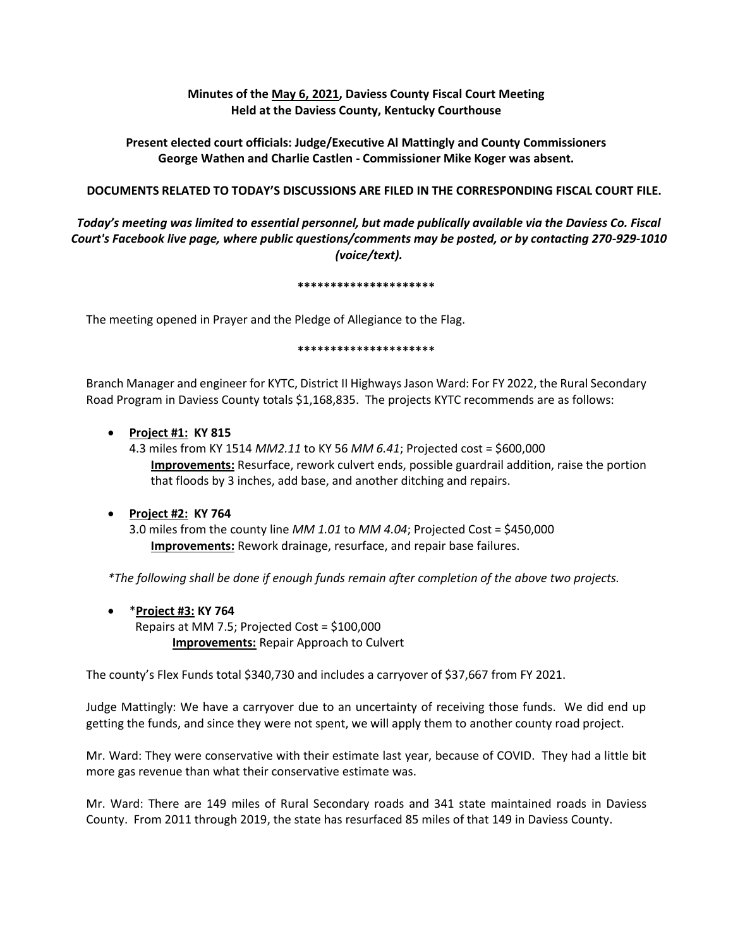## **Minutes of the May 6, 2021, Daviess County Fiscal Court Meeting Held at the Daviess County, Kentucky Courthouse**

# **Present elected court officials: Judge/Executive Al Mattingly and County Commissioners George Wathen and Charlie Castlen - Commissioner Mike Koger was absent.**

## **DOCUMENTS RELATED TO TODAY'S DISCUSSIONS ARE FILED IN THE CORRESPONDING FISCAL COURT FILE.**

*Today's meeting was limited to essential personnel, but made publically available via the Daviess Co. Fiscal Court's Facebook live page, where public questions/comments may be posted, or by contacting 270-929-1010 (voice/text).*

### **\*\*\*\*\*\*\*\*\*\*\*\*\*\*\*\*\*\*\*\*\***

The meeting opened in Prayer and the Pledge of Allegiance to the Flag.

### **\*\*\*\*\*\*\*\*\*\*\*\*\*\*\*\*\*\*\*\*\***

Branch Manager and engineer for KYTC, District II Highways Jason Ward: For FY 2022, the Rural Secondary Road Program in Daviess County totals \$1,168,835. The projects KYTC recommends are as follows:

## **Project #1: KY 815**

4.3 miles from KY 1514 *MM2.11* to KY 56 *MM 6.41*; Projected cost = \$600,000 **Improvements:** Resurface, rework culvert ends, possible guardrail addition, raise the portion that floods by 3 inches, add base, and another ditching and repairs.

## **Project #2: KY 764**

3.0 miles from the county line *MM 1.01* to *MM 4.04*; Projected Cost = \$450,000 **Improvements:** Rework drainage, resurface, and repair base failures.

*\*The following shall be done if enough funds remain after completion of the above two projects.* 

 \***Project #3: KY 764** Repairs at MM 7.5; Projected Cost = \$100,000 **Improvements:** Repair Approach to Culvert

The county's Flex Funds total \$340,730 and includes a carryover of \$37,667 from FY 2021.

Judge Mattingly: We have a carryover due to an uncertainty of receiving those funds. We did end up getting the funds, and since they were not spent, we will apply them to another county road project.

Mr. Ward: They were conservative with their estimate last year, because of COVID. They had a little bit more gas revenue than what their conservative estimate was.

Mr. Ward: There are 149 miles of Rural Secondary roads and 341 state maintained roads in Daviess County. From 2011 through 2019, the state has resurfaced 85 miles of that 149 in Daviess County.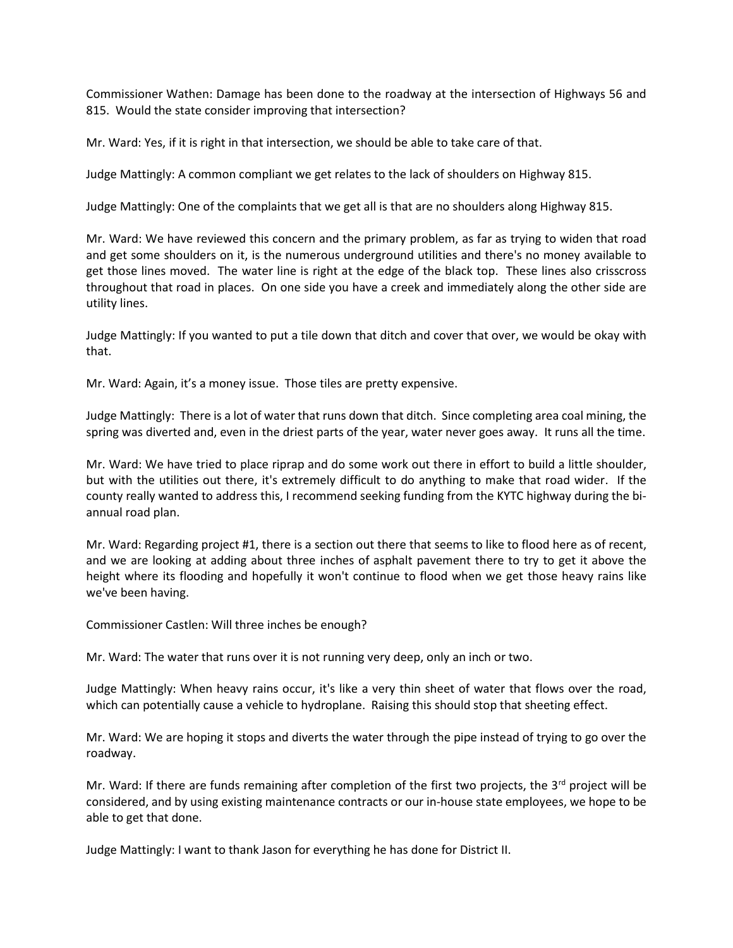Commissioner Wathen: Damage has been done to the roadway at the intersection of Highways 56 and 815. Would the state consider improving that intersection?

Mr. Ward: Yes, if it is right in that intersection, we should be able to take care of that.

Judge Mattingly: A common compliant we get relates to the lack of shoulders on Highway 815.

Judge Mattingly: One of the complaints that we get all is that are no shoulders along Highway 815.

Mr. Ward: We have reviewed this concern and the primary problem, as far as trying to widen that road and get some shoulders on it, is the numerous underground utilities and there's no money available to get those lines moved. The water line is right at the edge of the black top. These lines also crisscross throughout that road in places. On one side you have a creek and immediately along the other side are utility lines.

Judge Mattingly: If you wanted to put a tile down that ditch and cover that over, we would be okay with that.

Mr. Ward: Again, it's a money issue. Those tiles are pretty expensive.

Judge Mattingly: There is a lot of water that runs down that ditch. Since completing area coal mining, the spring was diverted and, even in the driest parts of the year, water never goes away. It runs all the time.

Mr. Ward: We have tried to place riprap and do some work out there in effort to build a little shoulder, but with the utilities out there, it's extremely difficult to do anything to make that road wider. If the county really wanted to address this, I recommend seeking funding from the KYTC highway during the biannual road plan.

Mr. Ward: Regarding project #1, there is a section out there that seems to like to flood here as of recent, and we are looking at adding about three inches of asphalt pavement there to try to get it above the height where its flooding and hopefully it won't continue to flood when we get those heavy rains like we've been having.

Commissioner Castlen: Will three inches be enough?

Mr. Ward: The water that runs over it is not running very deep, only an inch or two.

Judge Mattingly: When heavy rains occur, it's like a very thin sheet of water that flows over the road, which can potentially cause a vehicle to hydroplane. Raising this should stop that sheeting effect.

Mr. Ward: We are hoping it stops and diverts the water through the pipe instead of trying to go over the roadway.

Mr. Ward: If there are funds remaining after completion of the first two projects, the  $3^{rd}$  project will be considered, and by using existing maintenance contracts or our in-house state employees, we hope to be able to get that done.

Judge Mattingly: I want to thank Jason for everything he has done for District II.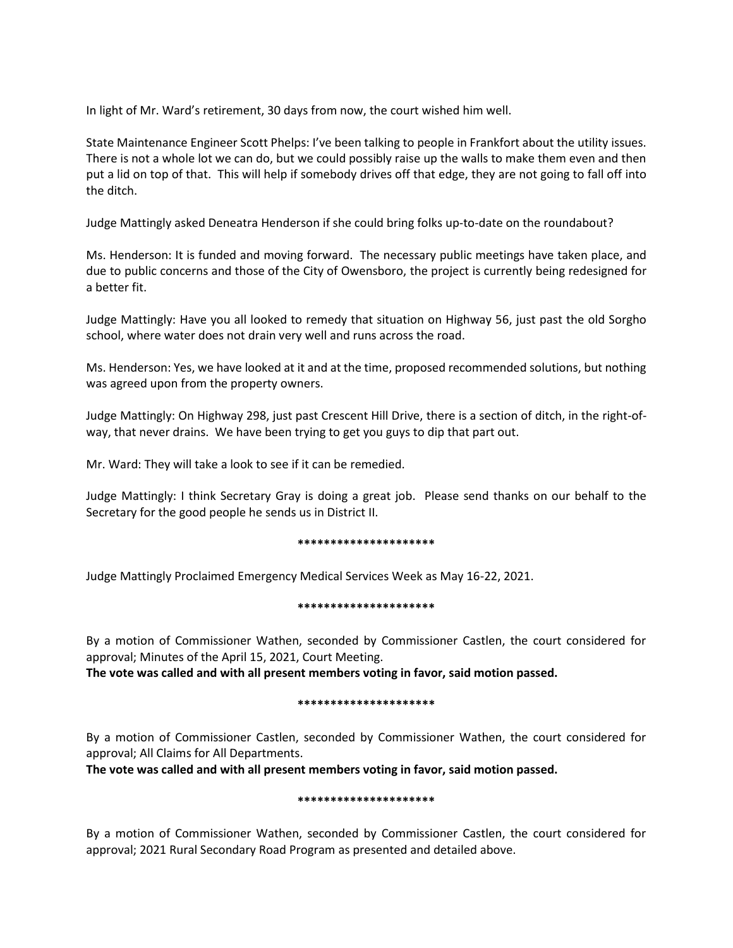In light of Mr. Ward's retirement, 30 days from now, the court wished him well.

State Maintenance Engineer Scott Phelps: I've been talking to people in Frankfort about the utility issues. There is not a whole lot we can do, but we could possibly raise up the walls to make them even and then put a lid on top of that. This will help if somebody drives off that edge, they are not going to fall off into the ditch.

Judge Mattingly asked Deneatra Henderson if she could bring folks up-to-date on the roundabout?

Ms. Henderson: It is funded and moving forward. The necessary public meetings have taken place, and due to public concerns and those of the City of Owensboro, the project is currently being redesigned for a better fit.

Judge Mattingly: Have you all looked to remedy that situation on Highway 56, just past the old Sorgho school, where water does not drain very well and runs across the road.

Ms. Henderson: Yes, we have looked at it and at the time, proposed recommended solutions, but nothing was agreed upon from the property owners.

Judge Mattingly: On Highway 298, just past Crescent Hill Drive, there is a section of ditch, in the right-ofway, that never drains. We have been trying to get you guys to dip that part out.

Mr. Ward: They will take a look to see if it can be remedied.

Judge Mattingly: I think Secretary Gray is doing a great job. Please send thanks on our behalf to the Secretary for the good people he sends us in District II.

#### **\*\*\*\*\*\*\*\*\*\*\*\*\*\*\*\*\*\*\*\*\***

Judge Mattingly Proclaimed Emergency Medical Services Week as May 16-22, 2021.

## **\*\*\*\*\*\*\*\*\*\*\*\*\*\*\*\*\*\*\*\*\***

By a motion of Commissioner Wathen, seconded by Commissioner Castlen, the court considered for approval; Minutes of the April 15, 2021, Court Meeting.

**The vote was called and with all present members voting in favor, said motion passed.** 

#### **\*\*\*\*\*\*\*\*\*\*\*\*\*\*\*\*\*\*\*\*\***

By a motion of Commissioner Castlen, seconded by Commissioner Wathen, the court considered for approval; All Claims for All Departments.

**The vote was called and with all present members voting in favor, said motion passed.** 

#### **\*\*\*\*\*\*\*\*\*\*\*\*\*\*\*\*\*\*\*\*\***

By a motion of Commissioner Wathen, seconded by Commissioner Castlen, the court considered for approval; 2021 Rural Secondary Road Program as presented and detailed above.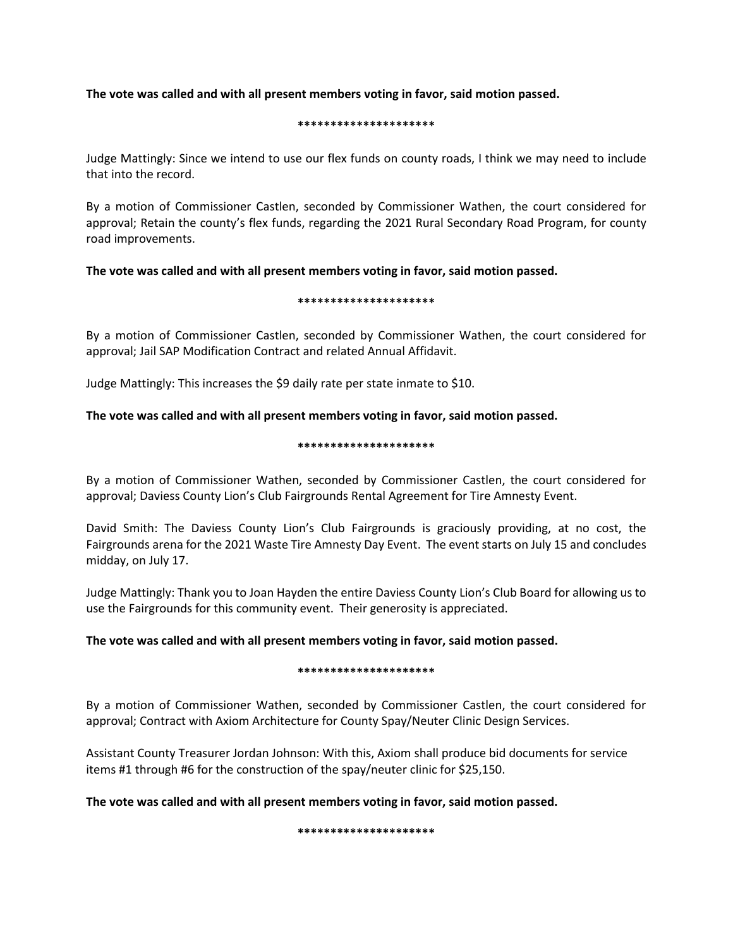## **The vote was called and with all present members voting in favor, said motion passed.**

### **\*\*\*\*\*\*\*\*\*\*\*\*\*\*\*\*\*\*\*\*\***

Judge Mattingly: Since we intend to use our flex funds on county roads, I think we may need to include that into the record.

By a motion of Commissioner Castlen, seconded by Commissioner Wathen, the court considered for approval; Retain the county's flex funds, regarding the 2021 Rural Secondary Road Program, for county road improvements.

**The vote was called and with all present members voting in favor, said motion passed.**

## **\*\*\*\*\*\*\*\*\*\*\*\*\*\*\*\*\*\*\*\*\***

By a motion of Commissioner Castlen, seconded by Commissioner Wathen, the court considered for approval; Jail SAP Modification Contract and related Annual Affidavit.

Judge Mattingly: This increases the \$9 daily rate per state inmate to \$10.

## **The vote was called and with all present members voting in favor, said motion passed.**

### **\*\*\*\*\*\*\*\*\*\*\*\*\*\*\*\*\*\*\*\*\***

By a motion of Commissioner Wathen, seconded by Commissioner Castlen, the court considered for approval; Daviess County Lion's Club Fairgrounds Rental Agreement for Tire Amnesty Event.

David Smith: The Daviess County Lion's Club Fairgrounds is graciously providing, at no cost, the Fairgrounds arena for the 2021 Waste Tire Amnesty Day Event. The event starts on July 15 and concludes midday, on July 17.

Judge Mattingly: Thank you to Joan Hayden the entire Daviess County Lion's Club Board for allowing us to use the Fairgrounds for this community event. Their generosity is appreciated.

## **The vote was called and with all present members voting in favor, said motion passed.**

## **\*\*\*\*\*\*\*\*\*\*\*\*\*\*\*\*\*\*\*\*\***

By a motion of Commissioner Wathen, seconded by Commissioner Castlen, the court considered for approval; Contract with Axiom Architecture for County Spay/Neuter Clinic Design Services.

Assistant County Treasurer Jordan Johnson: With this, Axiom shall produce bid documents for service items #1 through #6 for the construction of the spay/neuter clinic for \$25,150.

**The vote was called and with all present members voting in favor, said motion passed.**

**\*\*\*\*\*\*\*\*\*\*\*\*\*\*\*\*\*\*\*\*\***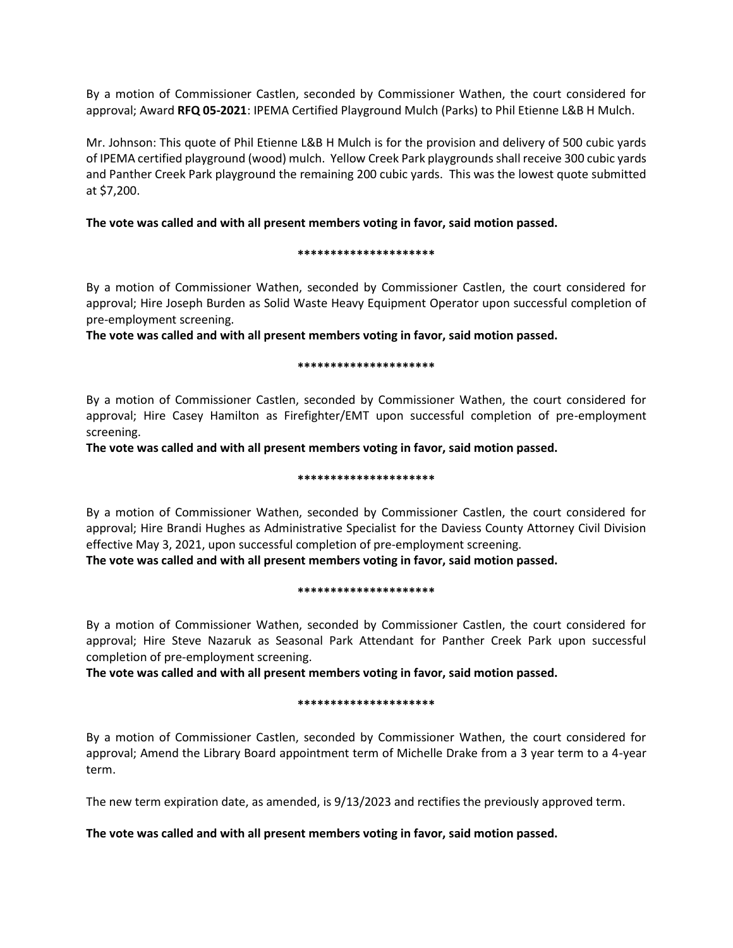By a motion of Commissioner Castlen, seconded by Commissioner Wathen, the court considered for approval; Award **RFQ 05-2021**: IPEMA Certified Playground Mulch (Parks) to Phil Etienne L&B H Mulch.

Mr. Johnson: This quote of Phil Etienne L&B H Mulch is for the provision and delivery of 500 cubic yards of IPEMA certified playground (wood) mulch. Yellow Creek Park playgrounds shall receive 300 cubic yards and Panther Creek Park playground the remaining 200 cubic yards. This was the lowest quote submitted at \$7,200.

## **The vote was called and with all present members voting in favor, said motion passed.**

#### **\*\*\*\*\*\*\*\*\*\*\*\*\*\*\*\*\*\*\*\*\***

By a motion of Commissioner Wathen, seconded by Commissioner Castlen, the court considered for approval; Hire Joseph Burden as Solid Waste Heavy Equipment Operator upon successful completion of pre-employment screening.

**The vote was called and with all present members voting in favor, said motion passed.**

### **\*\*\*\*\*\*\*\*\*\*\*\*\*\*\*\*\*\*\*\*\***

By a motion of Commissioner Castlen, seconded by Commissioner Wathen, the court considered for approval; Hire Casey Hamilton as Firefighter/EMT upon successful completion of pre-employment screening.

**The vote was called and with all present members voting in favor, said motion passed.**

### **\*\*\*\*\*\*\*\*\*\*\*\*\*\*\*\*\*\*\*\*\***

By a motion of Commissioner Wathen, seconded by Commissioner Castlen, the court considered for approval; Hire Brandi Hughes as Administrative Specialist for the Daviess County Attorney Civil Division effective May 3, 2021, upon successful completion of pre-employment screening.

**The vote was called and with all present members voting in favor, said motion passed.**

#### **\*\*\*\*\*\*\*\*\*\*\*\*\*\*\*\*\*\*\*\*\***

By a motion of Commissioner Wathen, seconded by Commissioner Castlen, the court considered for approval; Hire Steve Nazaruk as Seasonal Park Attendant for Panther Creek Park upon successful completion of pre-employment screening.

**The vote was called and with all present members voting in favor, said motion passed.**

## **\*\*\*\*\*\*\*\*\*\*\*\*\*\*\*\*\*\*\*\*\***

By a motion of Commissioner Castlen, seconded by Commissioner Wathen, the court considered for approval; Amend the Library Board appointment term of Michelle Drake from a 3 year term to a 4-year term.

The new term expiration date, as amended, is 9/13/2023 and rectifies the previously approved term.

## **The vote was called and with all present members voting in favor, said motion passed.**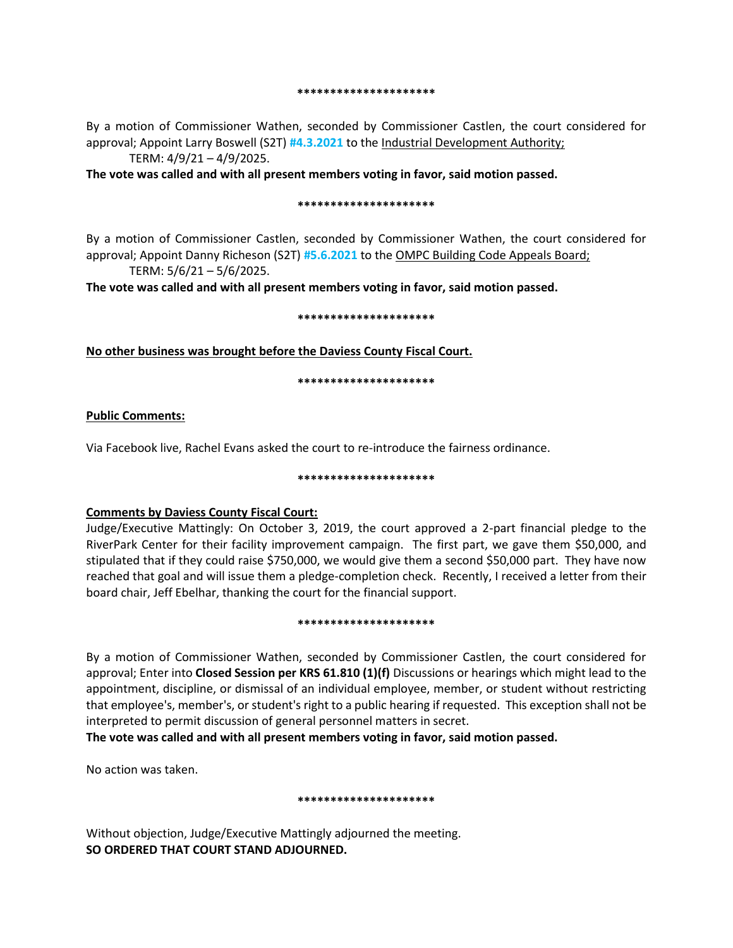#### **\*\*\*\*\*\*\*\*\*\*\*\*\*\*\*\*\*\*\*\*\***

By a motion of Commissioner Wathen, seconded by Commissioner Castlen, the court considered for approval; Appoint Larry Boswell (S2T) **#4.3.2021** to the Industrial Development Authority; TERM: 4/9/21 – 4/9/2025.

**The vote was called and with all present members voting in favor, said motion passed.**

#### **\*\*\*\*\*\*\*\*\*\*\*\*\*\*\*\*\*\*\*\*\***

By a motion of Commissioner Castlen, seconded by Commissioner Wathen, the court considered for approval; Appoint Danny Richeson (S2T) **#5.6.2021** to the OMPC Building Code Appeals Board;

TERM: 5/6/21 – 5/6/2025.

**The vote was called and with all present members voting in favor, said motion passed.**

#### **\*\*\*\*\*\*\*\*\*\*\*\*\*\*\*\*\*\*\*\*\***

## **No other business was brought before the Daviess County Fiscal Court.**

#### **\*\*\*\*\*\*\*\*\*\*\*\*\*\*\*\*\*\*\*\*\***

## **Public Comments:**

Via Facebook live, Rachel Evans asked the court to re-introduce the fairness ordinance.

#### **\*\*\*\*\*\*\*\*\*\*\*\*\*\*\*\*\*\*\*\*\***

## **Comments by Daviess County Fiscal Court:**

Judge/Executive Mattingly: On October 3, 2019, the court approved a 2-part financial pledge to the RiverPark Center for their facility improvement campaign. The first part, we gave them \$50,000, and stipulated that if they could raise \$750,000, we would give them a second \$50,000 part. They have now reached that goal and will issue them a pledge-completion check. Recently, I received a letter from their board chair, Jeff Ebelhar, thanking the court for the financial support.

#### **\*\*\*\*\*\*\*\*\*\*\*\*\*\*\*\*\*\*\*\*\***

By a motion of Commissioner Wathen, seconded by Commissioner Castlen, the court considered for approval; Enter into **Closed Session per KRS 61.810 (1)(f)** Discussions or hearings which might lead to the appointment, discipline, or dismissal of an individual employee, member, or student without restricting that employee's, member's, or student's right to a public hearing if requested. This exception shall not be interpreted to permit discussion of general personnel matters in secret.

**The vote was called and with all present members voting in favor, said motion passed.** 

No action was taken.

## **\*\*\*\*\*\*\*\*\*\*\*\*\*\*\*\*\*\*\*\*\***

Without objection, Judge/Executive Mattingly adjourned the meeting. **SO ORDERED THAT COURT STAND ADJOURNED.**